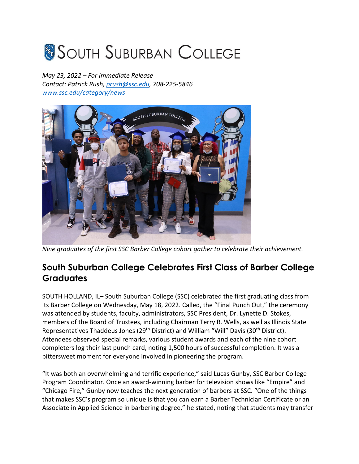## **SOUTH SUBURBAN COLLEGE**

*May 23, 2022 – For Immediate Release Contact: Patrick Rush, prush@ssc.edu, 708-225-5846 www.ssc.edu/category/news*



*Nine graduates of the first SSC Barber College cohort gather to celebrate their achievement.* 

## **South Suburban College Celebrates First Class of Barber College Graduates**

SOUTH HOLLAND, IL– South Suburban College (SSC) celebrated the first graduating class from its Barber College on Wednesday, May 18, 2022. Called, the "Final Punch Out," the ceremony was attended by students, faculty, administrators, SSC President, Dr. Lynette D. Stokes, members of the Board of Trustees, including Chairman Terry R. Wells, as well as Illinois State Representatives Thaddeus Jones (29<sup>th</sup> District) and William "Will" Davis (30<sup>th</sup> District). Attendees observed special remarks, various student awards and each of the nine cohort completers log their last punch card, noting 1,500 hours of successful completion. It was a bittersweet moment for everyone involved in pioneering the program.

"It was both an overwhelming and terrific experience," said Lucas Gunby, SSC Barber College Program Coordinator. Once an award-winning barber for television shows like "Empire" and "Chicago Fire," Gunby now teaches the next generation of barbers at SSC. "One of the things that makes SSC's program so unique is that you can earn a Barber Technician Certificate or an Associate in Applied Science in barbering degree," he stated, noting that students may transfer